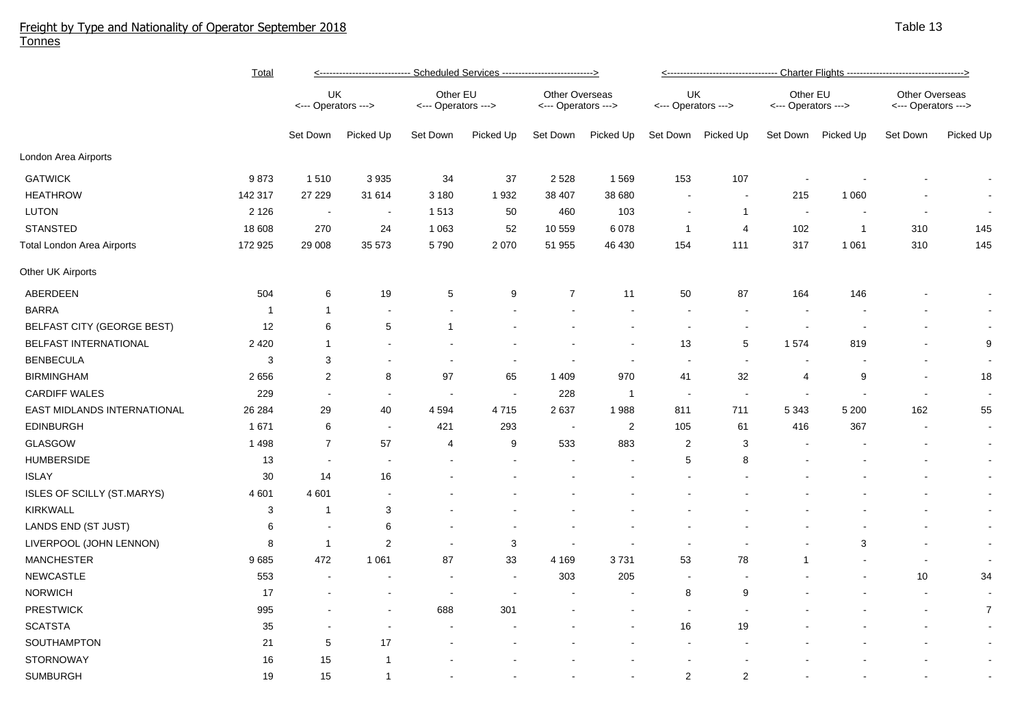## Freight by Type and Nationality of Operator September 2018 Tonnes

|                                   | <b>Total</b> | <---------------------------- Scheduled Services ---------------------------> |                          |                                 |                |                                       |                | <---------------------------------- Charter Flights ----------------------------------> |                |                                 |                |                                       |                |  |
|-----------------------------------|--------------|-------------------------------------------------------------------------------|--------------------------|---------------------------------|----------------|---------------------------------------|----------------|-----------------------------------------------------------------------------------------|----------------|---------------------------------|----------------|---------------------------------------|----------------|--|
|                                   |              | UK<br><--- Operators --->                                                     |                          | Other EU<br><--- Operators ---> |                | Other Overseas<br><--- Operators ---> |                | UK<br><--- Operators --->                                                               |                | Other EU<br><--- Operators ---> |                | Other Overseas<br><--- Operators ---> |                |  |
|                                   |              | Set Down                                                                      | Picked Up                | Set Down                        | Picked Up      | Set Down                              | Picked Up      | Set Down                                                                                | Picked Up      | Set Down                        | Picked Up      | Set Down                              | Picked Up      |  |
| London Area Airports              |              |                                                                               |                          |                                 |                |                                       |                |                                                                                         |                |                                 |                |                                       |                |  |
| <b>GATWICK</b>                    | 9873         | 1510                                                                          | 3 9 3 5                  | 34                              | 37             | 2 5 2 8                               | 1569           | 153                                                                                     | 107            | $\blacksquare$                  |                |                                       |                |  |
| <b>HEATHROW</b>                   | 142 317      | 27 229                                                                        | 31 614                   | 3 1 8 0                         | 1932           | 38 407                                | 38 680         |                                                                                         |                | 215                             | 1 0 6 0        |                                       |                |  |
| <b>LUTON</b>                      | 2 1 2 6      | $\overline{\phantom{a}}$                                                      | $\overline{\phantom{a}}$ | 1513                            | 50             | 460                                   | 103            |                                                                                         | $\mathbf{1}$   | $\sim$                          |                |                                       |                |  |
| <b>STANSTED</b>                   | 18 608       | 270                                                                           | 24                       | 1 0 6 3                         | 52             | 10 559                                | 6078           | $\overline{1}$                                                                          | $\overline{4}$ | 102                             | $\overline{1}$ | 310                                   | 145            |  |
| <b>Total London Area Airports</b> | 172 925      | 29 008                                                                        | 35 573                   | 5790                            | 2070           | 51 955                                | 46 430         | 154                                                                                     | 111            | 317                             | 1 0 6 1        | 310                                   | 145            |  |
| Other UK Airports                 |              |                                                                               |                          |                                 |                |                                       |                |                                                                                         |                |                                 |                |                                       |                |  |
| ABERDEEN                          | 504          | 6                                                                             | 19                       | 5                               | 9              | $\boldsymbol{7}$                      | 11             | 50                                                                                      | 87             | 164                             | 146            |                                       |                |  |
| <b>BARRA</b>                      | -1           | $\mathbf 1$                                                                   |                          |                                 |                |                                       |                |                                                                                         |                |                                 |                |                                       |                |  |
| BELFAST CITY (GEORGE BEST)        | 12           | 6                                                                             | 5                        | 1                               |                |                                       |                |                                                                                         |                |                                 |                |                                       |                |  |
| BELFAST INTERNATIONAL             | 2 4 2 0      | $\mathbf{1}$                                                                  |                          |                                 |                |                                       |                | 13                                                                                      | 5              | 1574                            | 819            |                                       | 9              |  |
| <b>BENBECULA</b>                  | 3            | 3                                                                             |                          |                                 |                |                                       |                |                                                                                         |                |                                 |                |                                       |                |  |
| <b>BIRMINGHAM</b>                 | 2656         | $\overline{c}$                                                                | 8                        | 97                              | 65             | 1 4 0 9                               | 970            | 41                                                                                      | 32             | 4                               | 9              | $\overline{\phantom{a}}$              | 18             |  |
| <b>CARDIFF WALES</b>              | 229          | $\sim$                                                                        | $\overline{\phantom{a}}$ | $\overline{\phantom{a}}$        | $\sim$         | 228                                   | $\mathbf 1$    | $\sim$                                                                                  |                | $\sim$                          |                | $\overline{\phantom{a}}$              |                |  |
| EAST MIDLANDS INTERNATIONAL       | 26 284       | 29                                                                            | 40                       | 4 5 9 4                         | 4715           | 2637                                  | 1988           | 811                                                                                     | 711            | 5 3 4 3                         | 5 200          | 162                                   | 55             |  |
| <b>EDINBURGH</b>                  | 1671         | 6                                                                             | $\blacksquare$           | 421                             | 293            | $\sim$                                | $\overline{2}$ | 105                                                                                     | 61             | 416                             | 367            | $\overline{\phantom{a}}$              | $\sim$         |  |
| <b>GLASGOW</b>                    | 1498         | $\overline{7}$                                                                | 57                       | 4                               | 9              | 533                                   | 883            | $\overline{2}$                                                                          | 3              |                                 |                |                                       | $\blacksquare$ |  |
| <b>HUMBERSIDE</b>                 | 13           | $\sim$                                                                        | $\overline{\phantom{a}}$ |                                 |                |                                       |                | 5                                                                                       | 8              |                                 |                |                                       | $\blacksquare$ |  |
| <b>ISLAY</b>                      | $30\,$       | 14                                                                            | 16                       |                                 |                |                                       |                |                                                                                         |                |                                 |                |                                       | $\blacksquare$ |  |
| <b>ISLES OF SCILLY (ST.MARYS)</b> | 4 601        | 4 601                                                                         |                          |                                 |                |                                       |                |                                                                                         |                |                                 |                |                                       | $\blacksquare$ |  |
| <b>KIRKWALL</b>                   | 3            | -1                                                                            | 3                        |                                 |                |                                       |                |                                                                                         |                |                                 |                |                                       | $\blacksquare$ |  |
| LANDS END (ST JUST)               | 6            | $\overline{\phantom{a}}$                                                      | 6                        |                                 |                |                                       |                |                                                                                         |                |                                 |                |                                       | $\blacksquare$ |  |
| LIVERPOOL (JOHN LENNON)           | 8            | $\mathbf{1}$                                                                  | $\overline{2}$           |                                 | 3              | $\sim$                                |                |                                                                                         |                |                                 | 3              |                                       | $\blacksquare$ |  |
| <b>MANCHESTER</b>                 | 9685         | 472                                                                           | 1 0 6 1                  | 87                              | 33             | 4 1 6 9                               | 3731           | 53                                                                                      | 78             | $\mathbf{1}$                    |                | $\sim$                                | $\sim$         |  |
| <b>NEWCASTLE</b>                  | 553          |                                                                               | $\overline{\phantom{a}}$ |                                 | $\overline{a}$ | 303                                   | 205            | $\sim$                                                                                  |                |                                 |                | 10                                    | 34             |  |
| <b>NORWICH</b>                    | 17           |                                                                               |                          |                                 |                |                                       |                | 8                                                                                       | 9              |                                 |                | $\overline{\phantom{a}}$              | $\sim$         |  |
| <b>PRESTWICK</b>                  | 995          |                                                                               | $\blacksquare$           | 688                             | 301            |                                       |                |                                                                                         |                |                                 |                | $\overline{\phantom{a}}$              | $\overline{7}$ |  |
| <b>SCATSTA</b>                    | 35           |                                                                               |                          |                                 |                |                                       |                | 16                                                                                      | 19             |                                 |                |                                       |                |  |
| SOUTHAMPTON                       | 21           | 5                                                                             | 17                       |                                 |                |                                       |                |                                                                                         |                |                                 |                |                                       | $\blacksquare$ |  |
| <b>STORNOWAY</b>                  | 16           | 15                                                                            | -1                       |                                 |                |                                       |                |                                                                                         |                |                                 |                |                                       | $\blacksquare$ |  |
| <b>SUMBURGH</b>                   | 19           | 15                                                                            | $\overline{1}$           |                                 |                |                                       |                | 2                                                                                       | $\overline{2}$ |                                 |                |                                       |                |  |